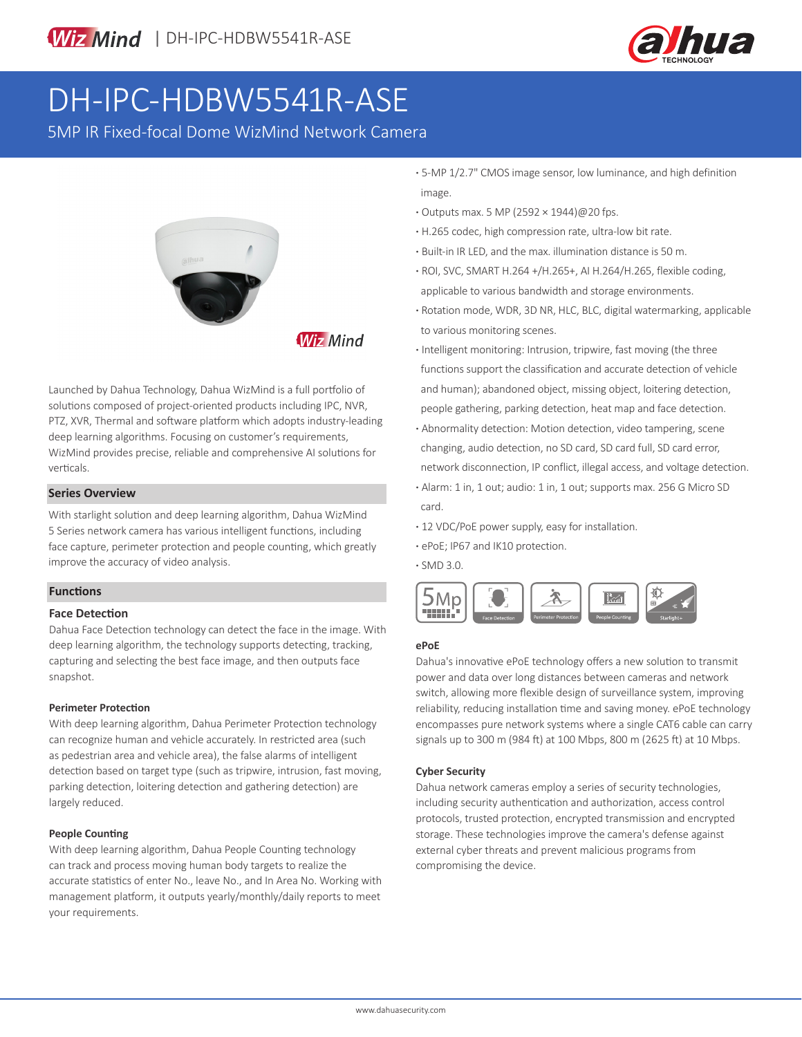

# DH-IPC-HDBW5541R-ASE

5MP IR Fixed-focal Dome WizMind Network Camera



**Wiz Mind** 

Launched by Dahua Technology, Dahua WizMind is a full portfolio of solutions composed of project-oriented products including IPC, NVR, PTZ, XVR, Thermal and software platform which adopts industry-leading deep learning algorithms. Focusing on customer's requirements, WizMind provides precise, reliable and comprehensive AI solutions for verticals.

#### **Series Overview**

With starlight solution and deep learning algorithm, Dahua WizMind 5 Series network camera has various intelligent functions, including face capture, perimeter protection and people counting, which greatly improve the accuracy of video analysis.

## **Functions**

## **Face Detection**

Dahua Face Detection technology can detect the face in the image. With deep learning algorithm, the technology supports detecting, tracking, capturing and selecting the best face image, and then outputs face snapshot.

#### **Perimeter Protection**

With deep learning algorithm, Dahua Perimeter Protection technology can recognize human and vehicle accurately. In restricted area (such as pedestrian area and vehicle area), the false alarms of intelligent detection based on target type (such as tripwire, intrusion, fast moving, parking detection, loitering detection and gathering detection) are largely reduced.

## **People Counting**

With deep learning algorithm, Dahua People Counting technology can track and process moving human body targets to realize the accurate statistics of enter No., leave No., and In Area No. Working with management platform, it outputs yearly/monthly/daily reports to meet your requirements.

- **·** 5-MP 1/2.7" CMOS image sensor, low luminance, and high definition image.
- **·** Outputs max. 5 MP (2592 × 1944)@20 fps.
- **·** H.265 codec, high compression rate, ultra-low bit rate.
- **·** Built-in IR LED, and the max. illumination distance is 50 m.
- **·** ROI, SVC, SMART H.264 +/H.265+, AI H.264/H.265, flexible coding, applicable to various bandwidth and storage environments.
- **·** Rotation mode, WDR, 3D NR, HLC, BLC, digital watermarking, applicable to various monitoring scenes.
- **·** Intelligent monitoring: Intrusion, tripwire, fast moving (the three functions support the classification and accurate detection of vehicle and human); abandoned object, missing object, loitering detection, people gathering, parking detection, heat map and face detection.
- **·** Abnormality detection: Motion detection, video tampering, scene changing, audio detection, no SD card, SD card full, SD card error, network disconnection, IP conflict, illegal access, and voltage detection.
- **·** Alarm: 1 in, 1 out; audio: 1 in, 1 out; supports max. 256 G Micro SD card.
- **·** 12 VDC/PoE power supply, easy for installation.
- **·** ePoE; IP67 and IK10 protection.

**·** SMD 3.0.



## **ePoE**

Dahua's innovative ePoE technology offers a new solution to transmit power and data over long distances between cameras and network switch, allowing more flexible design of surveillance system, improving reliability, reducing installation time and saving money. ePoE technology encompasses pure network systems where a single CAT6 cable can carry signals up to 300 m (984 ft) at 100 Mbps, 800 m (2625 ft) at 10 Mbps.

#### **Cyber Security**

Dahua network cameras employ a series of security technologies, including security authentication and authorization, access control protocols, trusted protection, encrypted transmission and encrypted storage. These technologies improve the camera's defense against external cyber threats and prevent malicious programs from compromising the device.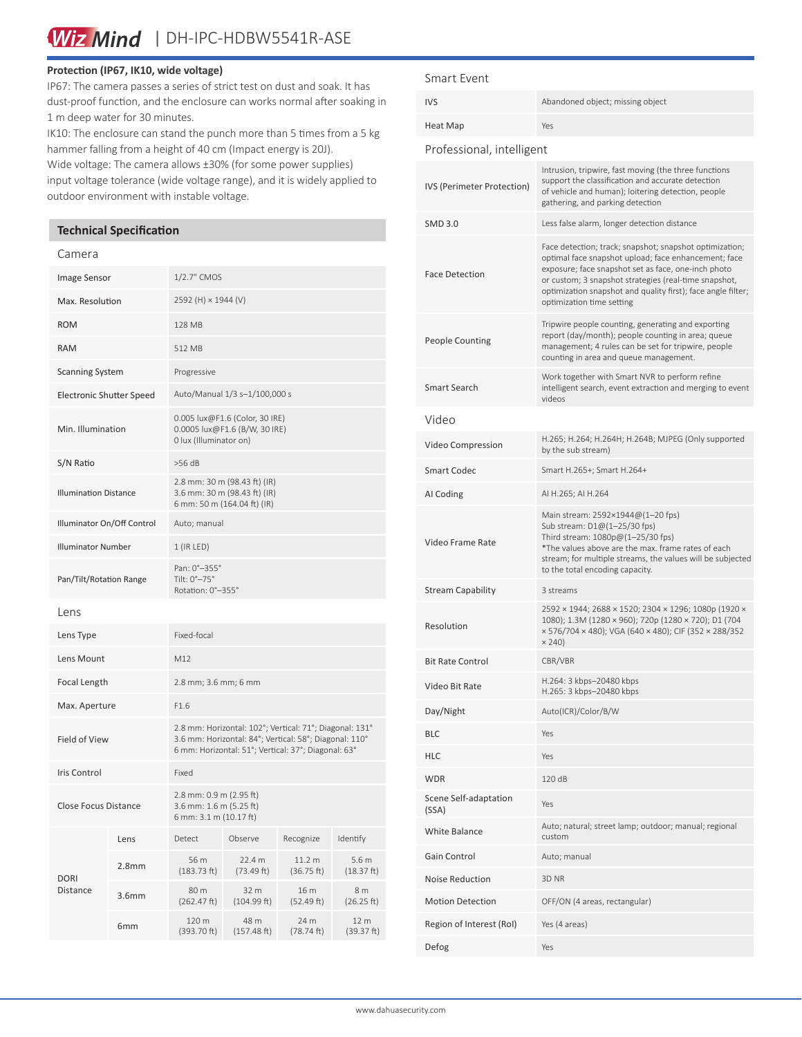Wiz Mind | DH-IPC-HDBW5541R-ASE

#### **Protection (IP67, IK10, wide voltage)**

IP67: The camera passes a series of strict test on dust and soak. It has dust-proof function, and the enclosure can works normal after soaking in 1 m deep water for 30 minutes.

IK10: The enclosure can stand the punch more than 5 times from a 5 kg hammer falling from a height of 40 cm (Impact energy is 20J).

Wide voltage: The camera allows ±30% (for some power supplies) input voltage tolerance (wide voltage range), and it is widely applied to outdoor environment with instable voltage.

# **Technical Specification**

#### Camera

| Image Sensor                    |                   | 1/2.7" CMOS                                                                                                                                                              |                      |                                 |                                |
|---------------------------------|-------------------|--------------------------------------------------------------------------------------------------------------------------------------------------------------------------|----------------------|---------------------------------|--------------------------------|
| Max. Resolution                 |                   | 2592 (H) × 1944 (V)                                                                                                                                                      |                      |                                 |                                |
| <b>ROM</b>                      |                   | 128 MB                                                                                                                                                                   |                      |                                 |                                |
| <b>RAM</b>                      |                   | 512 MB                                                                                                                                                                   |                      |                                 |                                |
| <b>Scanning System</b>          |                   | Progressive                                                                                                                                                              |                      |                                 |                                |
| <b>Electronic Shutter Speed</b> |                   | Auto/Manual 1/3 s-1/100,000 s                                                                                                                                            |                      |                                 |                                |
| Min. Illumination               |                   | 0.005 lux@F1.6 (Color, 30 IRE)<br>0.0005 lux@F1.6 (B/W, 30 IRE)<br>0 lux (Illuminator on)                                                                                |                      |                                 |                                |
| S/N Ratio                       |                   | $>56$ dB                                                                                                                                                                 |                      |                                 |                                |
| <b>Illumination Distance</b>    |                   | 2.8 mm: 30 m (98.43 ft) (IR)<br>3.6 mm: 30 m (98.43 ft) (IR)<br>6 mm: 50 m (164.04 ft) (IR)                                                                              |                      |                                 |                                |
| Illuminator On/Off Control      |                   | Auto; manual                                                                                                                                                             |                      |                                 |                                |
| <b>Illuminator Number</b>       |                   | $1$ (IR LED)                                                                                                                                                             |                      |                                 |                                |
| Pan/Tilt/Rotation Range         |                   | Pan: 0°-355°<br>Tilt: 0°-75°<br>Rotation: 0°-355°                                                                                                                        |                      |                                 |                                |
| Lens                            |                   |                                                                                                                                                                          |                      |                                 |                                |
| Lens Type                       |                   | Fixed-focal                                                                                                                                                              |                      |                                 |                                |
| Lens Mount                      |                   | M12                                                                                                                                                                      |                      |                                 |                                |
| Focal Length                    |                   | 2.8 mm; 3.6 mm; 6 mm                                                                                                                                                     |                      |                                 |                                |
| Max. Aperture                   |                   | F1.6                                                                                                                                                                     |                      |                                 |                                |
| <b>Field of View</b>            |                   | 2.8 mm: Horizontal: 102°; Vertical: 71°; Diagonal: 131°<br>3.6 mm: Horizontal: 84°; Vertical: 58°; Diagonal: 110°<br>6 mm: Horizontal: 51°; Vertical: 37°; Diagonal: 63° |                      |                                 |                                |
| <b>Iris Control</b>             |                   | Fixed                                                                                                                                                                    |                      |                                 |                                |
| <b>Close Focus Distance</b>     |                   | 2.8 mm: 0.9 m (2.95 ft)<br>3.6 mm: 1.6 m (5.25 ft)<br>6 mm: 3.1 m (10.17 ft)                                                                                             |                      |                                 |                                |
| <b>DORI</b><br>Distance         | Lens              | Detect                                                                                                                                                                   | Observe              | Recognize                       | Identify                       |
|                                 | 2.8 <sub>mm</sub> | 56 m<br>(183.73 ft)                                                                                                                                                      | 22.4 m<br>(73.49 ft) | 11.2 <sub>m</sub><br>(36.75 ft) | 5.6 <sub>m</sub><br>(18.37 ft) |
|                                 | 3.6mm             | 80 m<br>(262.47 ft)                                                                                                                                                      | 32 m<br>(104.99 ft)  | 16 m<br>(52.49 ft)              | 8 m<br>(26.25 ft)              |
|                                 | 6mm               | 120 m<br>(393.70 ft)                                                                                                                                                     | 48 m<br>(157.48 ft)  | 24 m<br>(78.74 ft)              | 12 m<br>(39.37 ft)             |

#### Smart Event

| <b>IVS</b>                     | Abandoned object; missing object                                                                                                                                                                                                                                                                                             |  |  |  |  |  |
|--------------------------------|------------------------------------------------------------------------------------------------------------------------------------------------------------------------------------------------------------------------------------------------------------------------------------------------------------------------------|--|--|--|--|--|
| Heat Map                       | Yes                                                                                                                                                                                                                                                                                                                          |  |  |  |  |  |
| Professional, intelligent      |                                                                                                                                                                                                                                                                                                                              |  |  |  |  |  |
| IVS (Perimeter Protection)     | Intrusion, tripwire, fast moving (the three functions<br>support the classification and accurate detection<br>of vehicle and human); loitering detection, people<br>gathering, and parking detection                                                                                                                         |  |  |  |  |  |
| <b>SMD 3.0</b>                 | Less false alarm, longer detection distance                                                                                                                                                                                                                                                                                  |  |  |  |  |  |
| <b>Face Detection</b>          | Face detection; track; snapshot; snapshot optimization;<br>optimal face snapshot upload; face enhancement; face<br>exposure; face snapshot set as face, one-inch photo<br>or custom; 3 snapshot strategies (real-time snapshot,<br>optimization snapshot and quality first); face angle filter;<br>optimization time setting |  |  |  |  |  |
| <b>People Counting</b>         | Tripwire people counting, generating and exporting<br>report (day/month); people counting in area; queue<br>management; 4 rules can be set for tripwire, people<br>counting in area and queue management.                                                                                                                    |  |  |  |  |  |
| Smart Search                   | Work together with Smart NVR to perform refine<br>intelligent search, event extraction and merging to event<br>videos                                                                                                                                                                                                        |  |  |  |  |  |
| Video                          |                                                                                                                                                                                                                                                                                                                              |  |  |  |  |  |
| Video Compression              | H.265; H.264; H.264H; H.264B; MJPEG (Only supported<br>by the sub stream)                                                                                                                                                                                                                                                    |  |  |  |  |  |
| <b>Smart Codec</b>             | Smart H.265+; Smart H.264+                                                                                                                                                                                                                                                                                                   |  |  |  |  |  |
| AI Coding                      | AI H.265; AI H.264                                                                                                                                                                                                                                                                                                           |  |  |  |  |  |
| Video Frame Rate               | Main stream: 2592×1944@(1-20 fps)<br>Sub stream: D1@(1-25/30 fps)<br>Third stream: 1080p@(1-25/30 fps)<br>*The values above are the max. frame rates of each<br>stream; for multiple streams, the values will be subjected<br>to the total encoding capacity.                                                                |  |  |  |  |  |
| <b>Stream Capability</b>       | 3 streams                                                                                                                                                                                                                                                                                                                    |  |  |  |  |  |
| Resolution                     | 2592 × 1944; 2688 × 1520; 2304 × 1296; 1080p (1920 ×<br>1080); 1.3M (1280 × 960); 720p (1280 × 720); D1 (704<br>× 576/704 × 480); VGA (640 × 480); CIF (352 × 288/352<br>$\times$ 240)                                                                                                                                       |  |  |  |  |  |
| <b>Bit Rate Control</b>        | CBR/VBR                                                                                                                                                                                                                                                                                                                      |  |  |  |  |  |
| Video Bit Rate                 | H.264: 3 kbps-20480 kbps<br>H.265: 3 kbps-20480 kbps                                                                                                                                                                                                                                                                         |  |  |  |  |  |
| Day/Night                      | Auto(ICR)/Color/B/W                                                                                                                                                                                                                                                                                                          |  |  |  |  |  |
| <b>BLC</b>                     | Yes                                                                                                                                                                                                                                                                                                                          |  |  |  |  |  |
| <b>HLC</b>                     | Yes                                                                                                                                                                                                                                                                                                                          |  |  |  |  |  |
| <b>WDR</b>                     | 120 dB                                                                                                                                                                                                                                                                                                                       |  |  |  |  |  |
| Scene Self-adaptation<br>(SSA) | Yes                                                                                                                                                                                                                                                                                                                          |  |  |  |  |  |
| White Balance                  | Auto; natural; street lamp; outdoor; manual; regional<br>custom                                                                                                                                                                                                                                                              |  |  |  |  |  |
| Gain Control                   | Auto; manual                                                                                                                                                                                                                                                                                                                 |  |  |  |  |  |
| <b>Noise Reduction</b>         | 3D NR                                                                                                                                                                                                                                                                                                                        |  |  |  |  |  |
| <b>Motion Detection</b>        | OFF/ON (4 areas, rectangular)                                                                                                                                                                                                                                                                                                |  |  |  |  |  |
| Region of Interest (RoI)       | Yes (4 areas)                                                                                                                                                                                                                                                                                                                |  |  |  |  |  |
| Defog                          | Yes                                                                                                                                                                                                                                                                                                                          |  |  |  |  |  |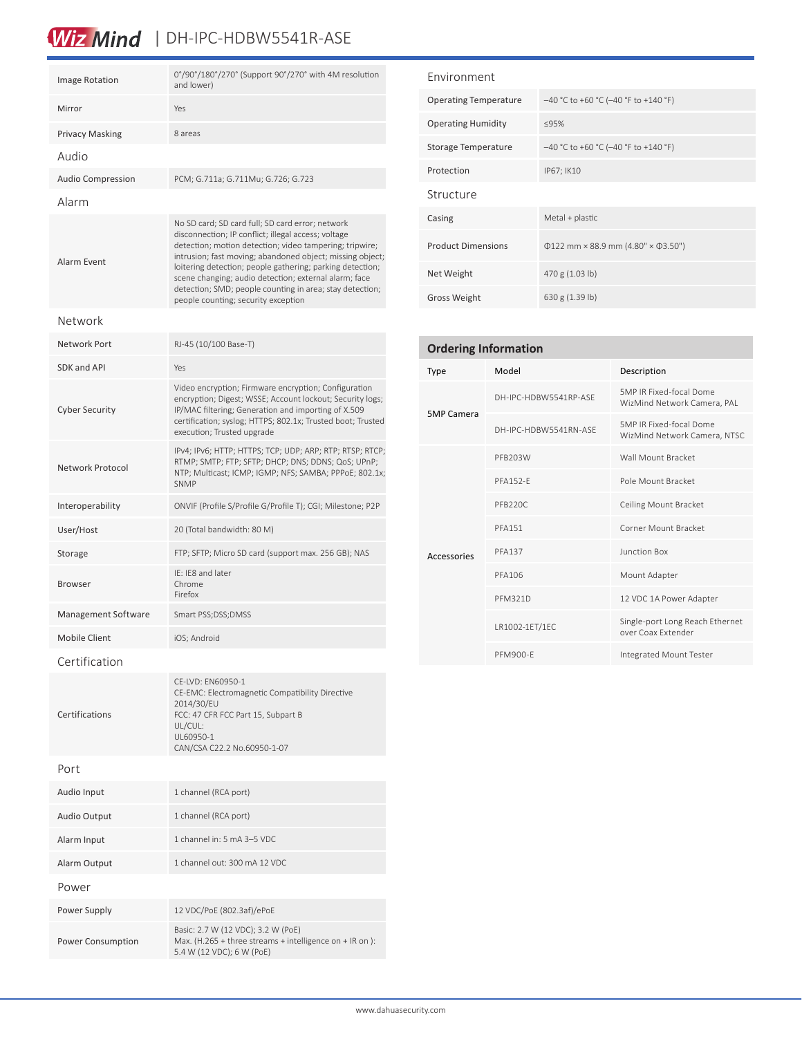# Wiz Mind | DH-IPC-HDBW5541R-ASE

| <b>Image Rotation</b>    | 0°/90°/180°/270° (Support 90°/270° with 4M resolution<br>and lower)                                                                                                                                                                                                                                                                                                                                                                                      |  |  |  |  |
|--------------------------|----------------------------------------------------------------------------------------------------------------------------------------------------------------------------------------------------------------------------------------------------------------------------------------------------------------------------------------------------------------------------------------------------------------------------------------------------------|--|--|--|--|
| Mirror                   | Yes                                                                                                                                                                                                                                                                                                                                                                                                                                                      |  |  |  |  |
| <b>Privacy Masking</b>   | 8 areas                                                                                                                                                                                                                                                                                                                                                                                                                                                  |  |  |  |  |
| Audio                    |                                                                                                                                                                                                                                                                                                                                                                                                                                                          |  |  |  |  |
| <b>Audio Compression</b> | PCM; G.711a; G.711Mu; G.726; G.723                                                                                                                                                                                                                                                                                                                                                                                                                       |  |  |  |  |
| Alarm                    |                                                                                                                                                                                                                                                                                                                                                                                                                                                          |  |  |  |  |
| Alarm Event              | No SD card; SD card full; SD card error; network<br>disconnection; IP conflict; illegal access; voltage<br>detection; motion detection; video tampering; tripwire;<br>intrusion; fast moving; abandoned object; missing object;<br>loitering detection; people gathering; parking detection;<br>scene changing; audio detection; external alarm; face<br>detection; SMD; people counting in area; stay detection;<br>people counting; security exception |  |  |  |  |
| Network                  |                                                                                                                                                                                                                                                                                                                                                                                                                                                          |  |  |  |  |
| Network Port             | RJ-45 (10/100 Base-T)                                                                                                                                                                                                                                                                                                                                                                                                                                    |  |  |  |  |
| SDK and API              | Yes                                                                                                                                                                                                                                                                                                                                                                                                                                                      |  |  |  |  |
| <b>Cyber Security</b>    | Video encryption; Firmware encryption; Configuration<br>encryption; Digest; WSSE; Account lockout; Security logs;<br>IP/MAC filtering; Generation and importing of X.509<br>certification; syslog; HTTPS; 802.1x; Trusted boot; Trusted<br>execution; Trusted upgrade                                                                                                                                                                                    |  |  |  |  |
| Network Protocol         | IPv4; IPv6; HTTP; HTTPS; TCP; UDP; ARP; RTP; RTSP; RTCP;<br>RTMP; SMTP; FTP; SFTP; DHCP; DNS; DDNS; QoS; UPnP;<br>NTP; Multicast; ICMP; IGMP; NFS; SAMBA; PPPoE; 802.1x;<br><b>SNMP</b>                                                                                                                                                                                                                                                                  |  |  |  |  |
| Interoperability         | ONVIF (Profile S/Profile G/Profile T); CGI; Milestone; P2P                                                                                                                                                                                                                                                                                                                                                                                               |  |  |  |  |
| User/Host                | 20 (Total bandwidth: 80 M)                                                                                                                                                                                                                                                                                                                                                                                                                               |  |  |  |  |
| Storage                  | FTP; SFTP; Micro SD card (support max. 256 GB); NAS                                                                                                                                                                                                                                                                                                                                                                                                      |  |  |  |  |
| <b>Browser</b>           | IE: IE8 and later<br>Chrome<br>Firefox                                                                                                                                                                                                                                                                                                                                                                                                                   |  |  |  |  |
| Management Software      | Smart PSS;DSS;DMSS                                                                                                                                                                                                                                                                                                                                                                                                                                       |  |  |  |  |
| <b>Mobile Client</b>     | iOS; Android                                                                                                                                                                                                                                                                                                                                                                                                                                             |  |  |  |  |
| Certification            |                                                                                                                                                                                                                                                                                                                                                                                                                                                          |  |  |  |  |
| Certifications           | CE-LVD: EN60950-1<br>CE-EMC: Electromagnetic Compatibility Directive<br>2014/30/EU<br>FCC: 47 CFR FCC Part 15, Subpart B<br>UL/CUL:<br>UL60950-1<br>CAN/CSA C22.2 No.60950-1-07                                                                                                                                                                                                                                                                          |  |  |  |  |
| Port                     |                                                                                                                                                                                                                                                                                                                                                                                                                                                          |  |  |  |  |
| Audio Input              | 1 channel (RCA port)                                                                                                                                                                                                                                                                                                                                                                                                                                     |  |  |  |  |
| <b>Audio Output</b>      | 1 channel (RCA port)                                                                                                                                                                                                                                                                                                                                                                                                                                     |  |  |  |  |
| Alarm Input              | 1 channel in: 5 mA 3-5 VDC                                                                                                                                                                                                                                                                                                                                                                                                                               |  |  |  |  |
| Alarm Output             | 1 channel out: 300 mA 12 VDC                                                                                                                                                                                                                                                                                                                                                                                                                             |  |  |  |  |
| Power                    |                                                                                                                                                                                                                                                                                                                                                                                                                                                          |  |  |  |  |
| Power Supply             | 12 VDC/PoE (802.3af)/ePoE                                                                                                                                                                                                                                                                                                                                                                                                                                |  |  |  |  |
| Power Consumption        | Basic: 2.7 W (12 VDC); 3.2 W (PoE)<br>Max. (H.265 + three streams + intelligence on + IR on):<br>5.4 W (12 VDC); 6 W (PoE)                                                                                                                                                                                                                                                                                                                               |  |  |  |  |

| Environment                  |                                                |  |  |  |  |
|------------------------------|------------------------------------------------|--|--|--|--|
| <b>Operating Temperature</b> | -40 °C to +60 °C (-40 °F to +140 °F)           |  |  |  |  |
| <b>Operating Humidity</b>    | <95%                                           |  |  |  |  |
| Storage Temperature          | $-40$ °C to +60 °C (-40 °F to +140 °F)         |  |  |  |  |
| Protection                   | IP67; IK10                                     |  |  |  |  |
| Structure                    |                                                |  |  |  |  |
| Casing                       | Metal + plastic                                |  |  |  |  |
| <b>Product Dimensions</b>    | $\Phi$ 122 mm × 88.9 mm (4.80" × $\Phi$ 3.50") |  |  |  |  |
| Net Weight                   | 470 g (1.03 lb)                                |  |  |  |  |
| <b>Gross Weight</b>          | 630 g (1.39 lb)                                |  |  |  |  |

| <b>Ordering Information</b> |                       |                                                         |  |  |  |
|-----------------------------|-----------------------|---------------------------------------------------------|--|--|--|
| <b>Type</b>                 | Model                 | Description                                             |  |  |  |
|                             | DH-IPC-HDBW5541RP-ASF | 5MP IR Fixed-focal Dome<br>WizMind Network Camera, PAL  |  |  |  |
| <b>5MP Camera</b>           | DH-IPC-HDBW5541RN-ASE | 5MP IR Fixed-focal Dome<br>WizMind Network Camera, NTSC |  |  |  |
|                             | PFB203W               | Wall Mount Bracket                                      |  |  |  |
|                             | <b>PFA152-F</b>       | Pole Mount Bracket                                      |  |  |  |
|                             | PFB220C               | Ceiling Mount Bracket                                   |  |  |  |
|                             | <b>PFA151</b>         | Corner Mount Bracket                                    |  |  |  |
| Accessories                 | <b>PFA137</b>         | <b>Junction Box</b>                                     |  |  |  |
|                             | PFA106                | Mount Adapter                                           |  |  |  |
|                             | <b>PFM321D</b>        | 12 VDC 1A Power Adapter                                 |  |  |  |
|                             | LR1002-1ET/1EC        | Single-port Long Reach Ethernet<br>over Coax Extender   |  |  |  |
|                             | PFM900-F              | Integrated Mount Tester                                 |  |  |  |